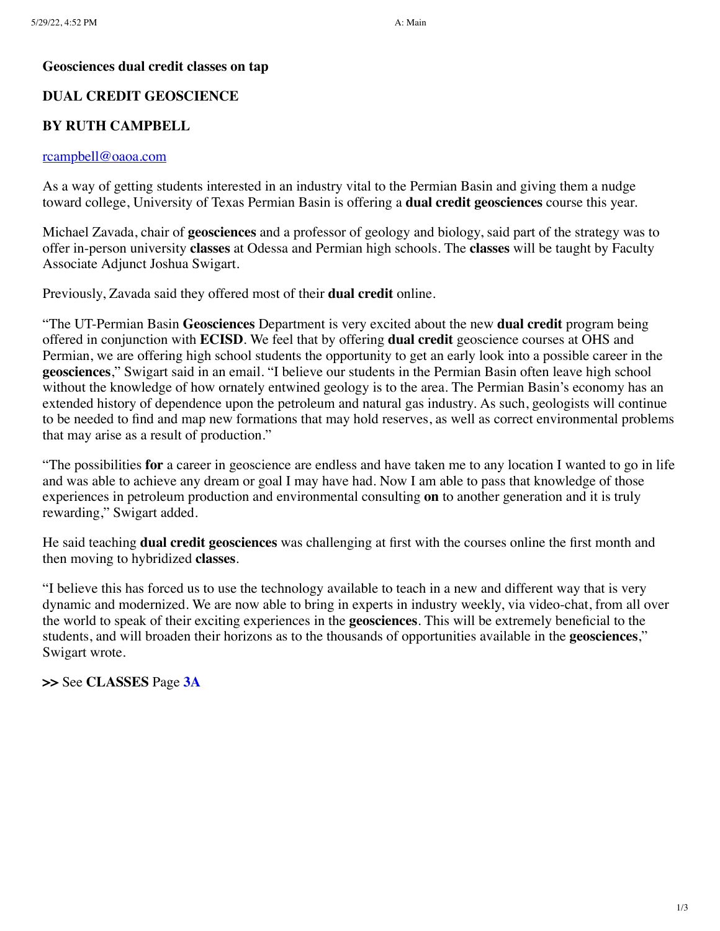### **Geosciences dual credit classes on tap**

### **DUAL CREDIT GEOSCIENCE**

# **BY RUTH CAMPBELL**

#### [rcampbell@oaoa.com](mailto:rcampbell@oaoa.com)

As a way of getting students interested in an industry vital to the Permian Basin and giving them a nudge toward college, University of Texas Permian Basin is offering a **dual credit geosciences** course this year.

Michael Zavada, chair of **geosciences** and a professor of geology and biology, said part of the strategy was to offer in-person university **classes** at Odessa and Permian high schools. The **classes** will be taught by Faculty Associate Adjunct Joshua Swigart.

Previously, Zavada said they offered most of their **dual credit** online.

"The UT-Permian Basin **Geosciences** Department is very excited about the new **dual credit** program being offered in conjunction with **ECISD**. We feel that by offering **dual credit** geoscience courses at OHS and Permian, we are offering high school students the opportunity to get an early look into a possible career in the **geosciences**," Swigart said in an email. "I believe our students in the Permian Basin often leave high school without the knowledge of how ornately entwined geology is to the area. The Permian Basin's economy has an extended history of dependence upon the petroleum and natural gas industry. As such, geologists will continue to be needed to find and map new formations that may hold reserves, as well as correct environmental problems that may arise as a result of production."

"The possibilities **for** a career in geoscience are endless and have taken me to any location I wanted to go in life and was able to achieve any dream or goal I may have had. Now I am able to pass that knowledge of those experiences in petroleum production and environmental consulting **on** to another generation and it is truly rewarding," Swigart added.

He said teaching **dual credit geosciences** was challenging at first with the courses online the first month and then moving to hybridized **classes**.

"I believe this has forced us to use the technology available to teach in a new and different way that is very dynamic and modernized. We are now able to bring in experts in industry weekly, via video-chat, from all over the world to speak of their exciting experiences in the **geosciences**. This will be extremely beneficial to the students, and will broaden their horizons as to the thousands of opportunities available in the **geosciences**," Swigart wrote.

**>>** See **CLASSES** Page **[3A](javascript:gotoPage("A","A03");)**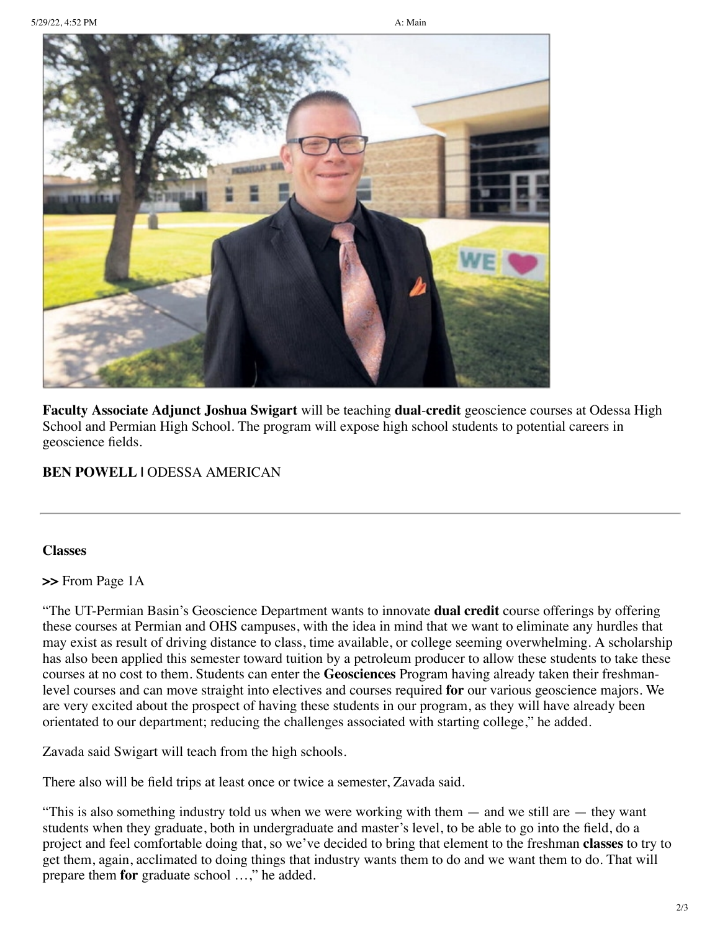

**Faculty Associate Adjunct Joshua Swigart** will be teaching **dual**-**credit** geoscience courses at Odessa High School and Permian High School. The program will expose high school students to potential careers in geoscience fields.

# **BEN POWELL |** ODESSA AMERICAN

# **Classes**

**>>** From Page 1A

"The UT-Permian Basin's Geoscience Department wants to innovate **dual credit** course offerings by offering these courses at Permian and OHS campuses, with the idea in mind that we want to eliminate any hurdles that may exist as result of driving distance to class, time available, or college seeming overwhelming. A scholarship has also been applied this semester toward tuition by a petroleum producer to allow these students to take these courses at no cost to them. Students can enter the **Geosciences** Program having already taken their freshmanlevel courses and can move straight into electives and courses required **for** our various geoscience majors. We are very excited about the prospect of having these students in our program, as they will have already been orientated to our department; reducing the challenges associated with starting college," he added.

Zavada said Swigart will teach from the high schools.

There also will be field trips at least once or twice a semester, Zavada said.

"This is also something industry told us when we were working with them — and we still are — they want students when they graduate, both in undergraduate and master's level, to be able to go into the field, do a project and feel comfortable doing that, so we've decided to bring that element to the freshman **classes** to try to get them, again, acclimated to doing things that industry wants them to do and we want them to do. That will prepare them **for** graduate school …," he added.